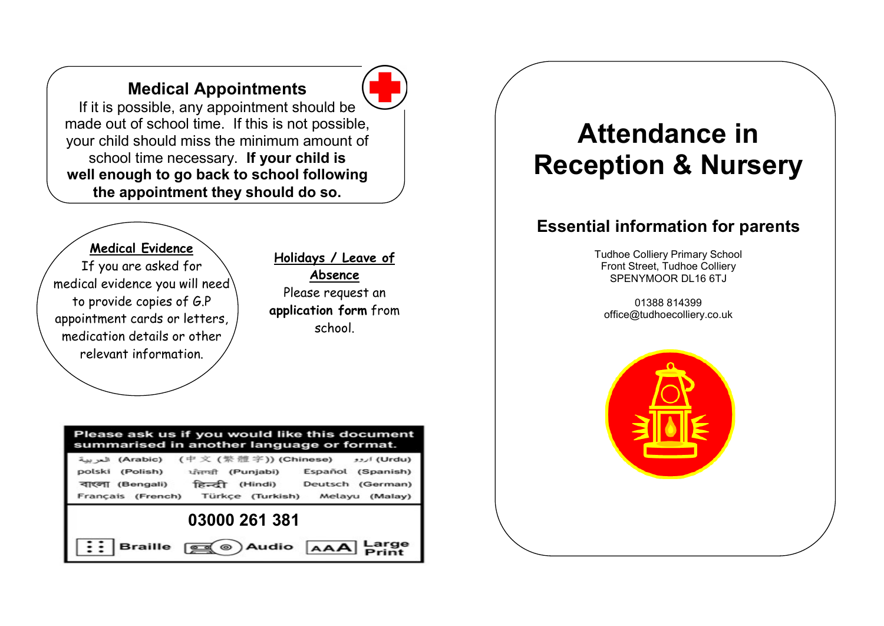## Medical Appointments



made out of school time. If this is not possible,<br>your child should miss the minimum amount of **Attendance in** If it is possible, any appointment should be made out of school time. If this is not possible, your child should miss the minimum amount of school time necessary. If your child is well enough to go back to school following the appointment they should do so.

#### Medical Evidence

If you are asked for medical evidence you will need to provide copies of G.P appointment cards or letters, medication details or other relevant information.

#### Holidays / Leave of Absence

Please request an application form from school.

#### Please ask us if you would like this document summarised in another language or format.

|                 |                  | (Urdu) اروو (中文 (繁體字)) (Chinese) العربية)                                                                |
|-----------------|------------------|----------------------------------------------------------------------------------------------------------|
| polski (Polish) | ਪੰਜਾਬੀ (Punjabi) | Español (Spanish)                                                                                        |
| বাংলা (Bengali) |                  | हिन्दी (Hindi) Deutsch (German)                                                                          |
|                 |                  | Français (French) Türkçe (Turkish) Melayu (Malay)                                                        |
| 03000 261 381   |                  |                                                                                                          |
|                 |                  | $\left  \vdots \right $ Braille $\text{sg}(\textcircled a)$ Audio $\textsf{A}\textsf{A}\textsf{A}$ Large |

# Reception & Nursery

#### Essential information for parents

Tudhoe Colliery Primary School Front Street, Tudhoe Colliery SPENYMOOR DL16 6TJ

01388 814399 office@tudhoecolliery.co.uk